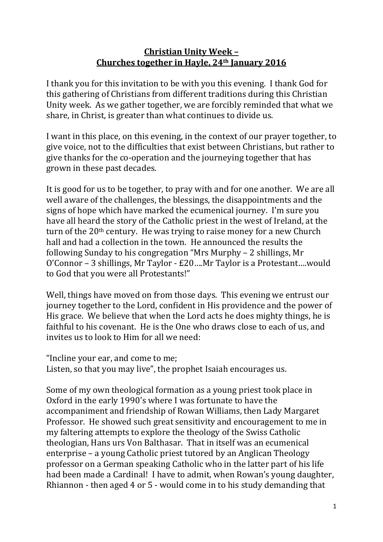## **Christian Unity Week – Churches together in Hayle, 24th January 2016**

I thank you for this invitation to be with you this evening. I thank God for this gathering of Christians from different traditions during this Christian Unity week. As we gather together, we are forcibly reminded that what we share, in Christ, is greater than what continues to divide us.

I want in this place, on this evening, in the context of our prayer together, to give voice, not to the difficulties that exist between Christians, but rather to give thanks for the co-operation and the journeying together that has grown in these past decades.

It is good for us to be together, to pray with and for one another. We are all well aware of the challenges, the blessings, the disappointments and the signs of hope which have marked the ecumenical journey. I'm sure you have all heard the story of the Catholic priest in the west of Ireland, at the turn of the  $20<sup>th</sup>$  century. He was trying to raise money for a new Church hall and had a collection in the town. He announced the results the following Sunday to his congregation "Mrs Murphy – 2 shillings, Mr O'Connor – 3 shillings, Mr Taylor - £20….Mr Taylor is a Protestant….would to God that you were all Protestants!"

Well, things have moved on from those days. This evening we entrust our journey together to the Lord, confident in His providence and the power of His grace. We believe that when the Lord acts he does mighty things, he is faithful to his covenant. He is the One who draws close to each of us, and invites us to look to Him for all we need:

"Incline your ear, and come to me; Listen, so that you may live", the prophet Isaiah encourages us.

Some of my own theological formation as a young priest took place in Oxford in the early 1990's where I was fortunate to have the accompaniment and friendship of Rowan Williams, then Lady Margaret Professor. He showed such great sensitivity and encouragement to me in my faltering attempts to explore the theology of the Swiss Catholic theologian, Hans urs Von Balthasar. That in itself was an ecumenical enterprise – a young Catholic priest tutored by an Anglican Theology professor on a German speaking Catholic who in the latter part of his life had been made a Cardinal! I have to admit, when Rowan's young daughter, Rhiannon - then aged 4 or 5 - would come in to his study demanding that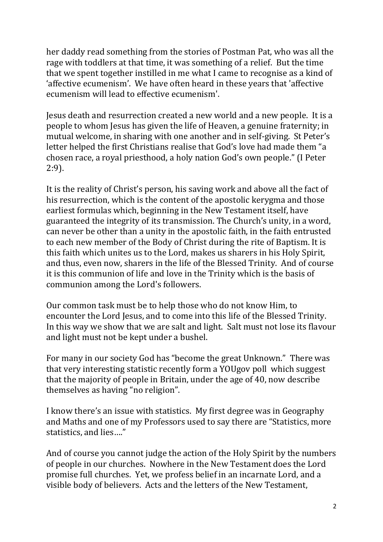her daddy read something from the stories of Postman Pat, who was all the rage with toddlers at that time, it was something of a relief. But the time that we spent together instilled in me what I came to recognise as a kind of 'affective ecumenism'. We have often heard in these years that 'affective ecumenism will lead to effective ecumenism'.

Jesus death and resurrection created a new world and a new people. It is a people to whom Jesus has given the life of Heaven, a genuine fraternity; in mutual welcome, in sharing with one another and in self-giving. St Peter's letter helped the first Christians realise that God's love had made them "a chosen race, a royal priesthood, a holy nation God's own people." (I Peter 2:9).

It is the reality of Christ's person, his saving work and above all the fact of his resurrection, which is the content of the apostolic kerygma and those earliest formulas which, beginning in the New Testament itself, have guaranteed the integrity of its transmission. The Church's unity, in a word, can never be other than a unity in the apostolic faith, in the faith entrusted to each new member of the Body of Christ during the rite of Baptism. It is this faith which unites us to the Lord, makes us sharers in his Holy Spirit, and thus, even now, sharers in the life of the Blessed Trinity. And of course it is this communion of life and love in the Trinity which is the basis of communion among the Lord's followers.

Our common task must be to help those who do not know Him, to encounter the Lord Jesus, and to come into this life of the Blessed Trinity. In this way we show that we are salt and light. Salt must not lose its flavour and light must not be kept under a bushel.

For many in our society God has "become the great Unknown." There was that very interesting statistic recently form a YOUgov poll which suggest that the majority of people in Britain, under the age of 40, now describe themselves as having "no religion".

I know there's an issue with statistics. My first degree was in Geography and Maths and one of my Professors used to say there are "Statistics, more statistics, and lies…."

And of course you cannot judge the action of the Holy Spirit by the numbers of people in our churches. Nowhere in the New Testament does the Lord promise full churches. Yet, we profess belief in an incarnate Lord, and a visible body of believers. Acts and the letters of the New Testament,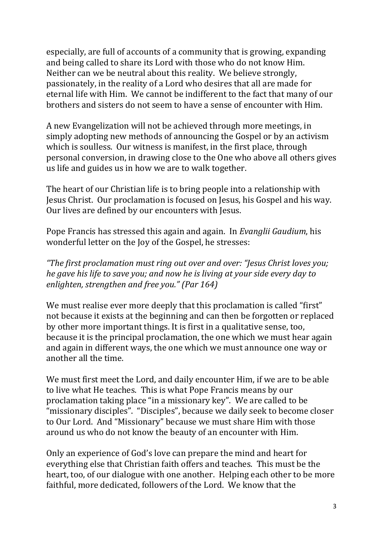especially, are full of accounts of a community that is growing, expanding and being called to share its Lord with those who do not know Him. Neither can we be neutral about this reality. We believe strongly, passionately, in the reality of a Lord who desires that all are made for eternal life with Him. We cannot be indifferent to the fact that many of our brothers and sisters do not seem to have a sense of encounter with Him.

A new Evangelization will not be achieved through more meetings, in simply adopting new methods of announcing the Gospel or by an activism which is soulless. Our witness is manifest, in the first place, through personal conversion, in drawing close to the One who above all others gives us life and guides us in how we are to walk together.

The heart of our Christian life is to bring people into a relationship with Jesus Christ. Our proclamation is focused on Jesus, his Gospel and his way. Our lives are defined by our encounters with Jesus.

Pope Francis has stressed this again and again. In *Evanglii Gaudium*, his wonderful letter on the Joy of the Gospel, he stresses:

*"The first proclamation must ring out over and over: "Jesus Christ loves you; he gave his life to save you; and now he is living at your side every day to enlighten, strengthen and free you." (Par 164)*

We must realise ever more deeply that this proclamation is called "first" not because it exists at the beginning and can then be forgotten or replaced by other more important things. It is first in a qualitative sense, too, because it is the principal proclamation, the one which we must hear again and again in different ways, the one which we must announce one way or another all the time.

We must first meet the Lord, and daily encounter Him, if we are to be able to live what He teaches. This is what Pope Francis means by our proclamation taking place "in a missionary key". We are called to be "missionary disciples". "Disciples", because we daily seek to become closer to Our Lord. And "Missionary" because we must share Him with those around us who do not know the beauty of an encounter with Him.

Only an experience of God's love can prepare the mind and heart for everything else that Christian faith offers and teaches. This must be the heart, too, of our dialogue with one another. Helping each other to be more faithful, more dedicated, followers of the Lord. We know that the